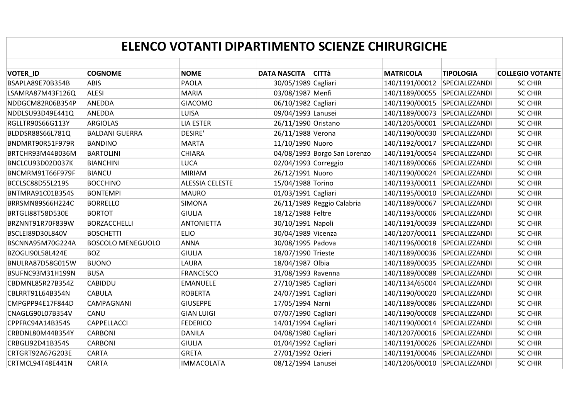| ELENCO VOTANTI DIPARTIMENTO SCIENZE CHIRURGICHE |                          |                        |                      |                              |                               |                  |                         |  |
|-------------------------------------------------|--------------------------|------------------------|----------------------|------------------------------|-------------------------------|------------------|-------------------------|--|
| <b>VOTER_ID</b>                                 | <b>COGNOME</b>           | <b>NOME</b>            | <b>DATA NASCITA</b>  | <b>CITTà</b>                 | <b>MATRICOLA</b>              | <b>TIPOLOGIA</b> | <b>COLLEGIO VOTANTE</b> |  |
| BSAPLA89E70B354B                                | <b>ABIS</b>              | PAOLA                  | 30/05/1989 Cagliari  |                              | 140/1191/00012 SPECIALIZZANDI |                  | <b>SC CHIR</b>          |  |
| LSAMRA87M43F126Q                                | <b>ALESI</b>             | <b>MARIA</b>           | 03/08/1987 Menfi     |                              | 140/1189/00055 SPECIALIZZANDI |                  | <b>SC CHIR</b>          |  |
| NDDGCM82R06B354P                                | <b>ANEDDA</b>            | <b>GIACOMO</b>         | 06/10/1982 Cagliari  |                              | 140/1190/00015                | SPECIALIZZANDI   | <b>SC CHIR</b>          |  |
| NDDLSU93D49E441Q                                | ANEDDA                   | <b>LUISA</b>           | 09/04/1993 Lanusei   |                              | 140/1189/00073                | SPECIALIZZANDI   | <b>SC CHIR</b>          |  |
| RGLLTR90S66G113Y                                | <b>ARGIOLAS</b>          | <b>LIA ESTER</b>       | 26/11/1990 Oristano  |                              | 140/1205/00001 SPECIALIZZANDI |                  | <b>SC CHIR</b>          |  |
| BLDDSR88S66L781Q                                | <b>BALDANI GUERRA</b>    | <b>DESIRE'</b>         | 26/11/1988 Verona    |                              | 140/1190/00030                | SPECIALIZZANDI   | <b>SC CHIR</b>          |  |
| BNDMRT90R51F979R                                | <b>BANDINO</b>           | <b>MARTA</b>           | 11/10/1990 Nuoro     |                              | 140/1192/00017                | SPECIALIZZANDI   | <b>SC CHIR</b>          |  |
| BRTCHR93M44B036M                                | <b>BARTOLINI</b>         | <b>CHIARA</b>          |                      | 04/08/1993 Borgo San Lorenzo | 140/1191/00054                | SPECIALIZZANDI   | <b>SC CHIR</b>          |  |
| BNCLCU93D02D037K                                | <b>BIANCHINI</b>         | LUCA                   | 02/04/1993 Correggio |                              | 140/1189/00066                | SPECIALIZZANDI   | <b>SC CHIR</b>          |  |
| BNCMRM91T66F979F                                | <b>BIANCU</b>            | <b>MIRIAM</b>          | 26/12/1991 Nuoro     |                              | 140/1190/00024                | SPECIALIZZANDI   | <b>SC CHIR</b>          |  |
| BCCLSC88D55L219S                                | <b>BOCCHINO</b>          | <b>ALESSIA CELESTE</b> | 15/04/1988 Torino    |                              | 140/1193/00011                | SPECIALIZZANDI   | <b>SC CHIR</b>          |  |
| BNTMRA91C01B354S                                | <b>BONTEMPI</b>          | <b>MAURO</b>           | 01/03/1991 Cagliari  |                              | 140/1195/00010                | SPECIALIZZANDI   | <b>SC CHIR</b>          |  |
| BRRSMN89S66H224C                                | <b>BORRELLO</b>          | <b>SIMONA</b>          |                      | 26/11/1989 Reggio Calabria   | 140/1189/00067                | SPECIALIZZANDI   | <b>SC CHIR</b>          |  |
| BRTGLI88T58D530E                                | <b>BORTOT</b>            | <b>GIULIA</b>          | 18/12/1988 Feltre    |                              | 140/1193/00006                | SPECIALIZZANDI   | <b>SC CHIR</b>          |  |
| BRZNNT91R70F839W                                | <b>BORZACCHELLI</b>      | <b>ANTONIETTA</b>      | 30/10/1991 Napoli    |                              | 140/1191/00039                | SPECIALIZZANDI   | <b>SC CHIR</b>          |  |
| BSCLEI89D30L840V                                | <b>BOSCHETTI</b>         | <b>ELIO</b>            | 30/04/1989 Vicenza   |                              | 140/1207/00011                | SPECIALIZZANDI   | <b>SC CHIR</b>          |  |
| BSCNNA95M70G224A                                | <b>BOSCOLO MENEGUOLO</b> | ANNA                   | 30/08/1995 Padova    |                              | 140/1196/00018                | SPECIALIZZANDI   | <b>SC CHIR</b>          |  |
| BZOGLI90L58L424E                                | <b>BOZ</b>               | <b>GIULIA</b>          | 18/07/1990 Trieste   |                              | 140/1189/00036                | SPECIALIZZANDI   | <b>SC CHIR</b>          |  |
| BNULRA87D58G015W                                | <b>BUONO</b>             | LAURA                  | 18/04/1987 Olbia     |                              | 140/1189/00035                | SPECIALIZZANDI   | <b>SC CHIR</b>          |  |
| BSUFNC93M31H199N                                | <b>BUSA</b>              | <b>FRANCESCO</b>       | 31/08/1993 Ravenna   |                              | 140/1189/00088                | SPECIALIZZANDI   | <b>SC CHIR</b>          |  |
| CBDMNL85R27B354Z                                | <b>CABIDDU</b>           | <b>EMANUELE</b>        | 27/10/1985 Cagliari  |                              | 140/1134/65004                | SPECIALIZZANDI   | <b>SC CHIR</b>          |  |
| CBLRRT91L64B354N                                | <b>CABULA</b>            | <b>ROBERTA</b>         | 24/07/1991 Cagliari  |                              | 140/1190/00020                | SPECIALIZZANDI   | <b>SC CHIR</b>          |  |
| CMPGPP94E17F844D                                | CAMPAGNANI               | <b>GIUSEPPE</b>        | 17/05/1994 Narni     |                              | 140/1189/00086                | SPECIALIZZANDI   | <b>SC CHIR</b>          |  |
| CNAGLG90L07B354V                                | CANU                     | <b>GIAN LUIGI</b>      | 07/07/1990 Cagliari  |                              | 140/1190/00008                | SPECIALIZZANDI   | <b>SC CHIR</b>          |  |
| CPPFRC94A14B354S                                | <b>CAPPELLACCI</b>       | <b>FEDERICO</b>        | 14/01/1994 Cagliari  |                              | 140/1190/00014                | SPECIALIZZANDI   | <b>SC CHIR</b>          |  |
| CRBDNL80M44B354Y                                | <b>CARBONI</b>           | <b>DANILA</b>          | 04/08/1980 Cagliari  |                              | 140/1207/00016 SPECIALIZZANDI |                  | <b>SC CHIR</b>          |  |
| CRBGLI92D41B354S                                | <b>CARBONI</b>           | <b>GIULIA</b>          | 01/04/1992 Cagliari  |                              | 140/1191/00026                | SPECIALIZZANDI   | <b>SC CHIR</b>          |  |
| CRTGRT92A67G203E                                | <b>CARTA</b>             | <b>GRETA</b>           | 27/01/1992 Ozieri    |                              | 140/1191/00046                | SPECIALIZZANDI   | <b>SC CHIR</b>          |  |
| CRTMCL94T48E441N                                | <b>CARTA</b>             | <b>IMMACOLATA</b>      | 08/12/1994 Lanusei   |                              | 140/1206/00010                | SPECIALIZZANDI   | <b>SC CHIR</b>          |  |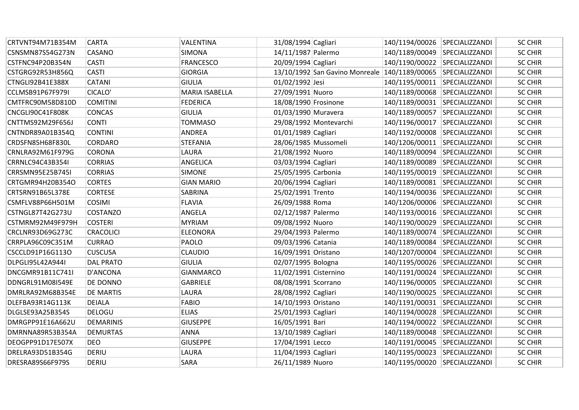| CRTVNT94M71B354M        | <b>CARTA</b>     | VALENTINA         | 31/08/1994 Cagliari   |                                                              | 140/1194/00026 SPECIALIZZANDI |                | <b>SC CHIR</b> |
|-------------------------|------------------|-------------------|-----------------------|--------------------------------------------------------------|-------------------------------|----------------|----------------|
| CSNSMN87S54G273N        | CASANO           | <b>SIMONA</b>     | 14/11/1987 Palermo    |                                                              | 140/1189/00049 SPECIALIZZANDI |                | <b>SC CHIR</b> |
| CSTFNC94P20B354N        | <b>CASTI</b>     | <b>FRANCESCO</b>  | 20/09/1994 Cagliari   |                                                              | 140/1190/00022 SPECIALIZZANDI |                | <b>SC CHIR</b> |
| CSTGRG92R53H856Q        | <b>CASTI</b>     | <b>GIORGIA</b>    |                       | 13/10/1992 San Gavino Monreale 140/1189/00065 SPECIALIZZANDI |                               |                | <b>SC CHIR</b> |
| CTNGLI92B41E388X        | CATANI           | <b>GIULIA</b>     | 01/02/1992 Jesi       |                                                              | 140/1195/00011 SPECIALIZZANDI |                | <b>SC CHIR</b> |
| CCLMSB91P67F979I        | CICALO'          | MARIA ISABELLA    | 27/09/1991 Nuoro      |                                                              | 140/1189/00068                | SPECIALIZZANDI | <b>SC CHIR</b> |
| CMTFRC90M58D810D        | <b>COMITINI</b>  | FEDERICA          | 18/08/1990 Frosinone  |                                                              | 140/1189/00031 SPECIALIZZANDI |                | <b>SC CHIR</b> |
| CNCGLI90C41F808K        | CONCAS           | <b>GIULIA</b>     | 01/03/1990 Muravera   |                                                              | 140/1189/00057 SPECIALIZZANDI |                | <b>SC CHIR</b> |
| CNTTMS92M29F656J        | <b>CONTI</b>     | <b>TOMMASO</b>    |                       | 29/08/1992 Montevarchi                                       | 140/1196/00017                | SPECIALIZZANDI | <b>SC CHIR</b> |
| CNTNDR89A01B354Q        | <b>CONTINI</b>   | <b>ANDREA</b>     | 01/01/1989 Cagliari   |                                                              | 140/1192/00008                | SPECIALIZZANDI | <b>SC CHIR</b> |
| CRDSFN85H68F830L        | <b>CORDARO</b>   | <b>STEFANIA</b>   | 28/06/1985 Mussomeli  |                                                              | 140/1206/00011 SPECIALIZZANDI |                | <b>SC CHIR</b> |
| CRNLRA92M61F979G        | <b>CORONA</b>    | LAURA             | 21/08/1992 Nuoro      |                                                              | 140/1189/00094                | SPECIALIZZANDI | <b>SC CHIR</b> |
| CRRNLC94C43B354I        | <b>CORRIAS</b>   | ANGELICA          | 03/03/1994 Cagliari   |                                                              | 140/1189/00089                | SPECIALIZZANDI | <b>SC CHIR</b> |
| CRRSMN95E25B745I        | <b>CORRIAS</b>   | <b>SIMONE</b>     | 25/05/1995 Carbonia   |                                                              | 140/1195/00019                | SPECIALIZZANDI | <b>SC CHIR</b> |
| CRTGMR94H20B354O        | <b>CORTES</b>    | <b>GIAN MARIO</b> | 20/06/1994 Cagliari   |                                                              | 140/1189/00081 SPECIALIZZANDI |                | <b>SC CHIR</b> |
| CRTSRN91B65L378E        | <b>CORTESE</b>   | <b>SABRINA</b>    | 25/02/1991 Trento     |                                                              | 140/1194/00036 SPECIALIZZANDI |                | <b>SC CHIR</b> |
| CSMFLV88P66H501M        | <b>COSIMI</b>    | <b>FLAVIA</b>     | 26/09/1988 Roma       |                                                              | 140/1206/00006 SPECIALIZZANDI |                | <b>SC CHIR</b> |
| <b>CSTNGL87T42G273U</b> | COSTANZO         | ANGELA            | 02/12/1987 Palermo    |                                                              | 140/1193/00016 SPECIALIZZANDI |                | <b>SC CHIR</b> |
| CSTMRM92M49F979H        | <b>COSTERI</b>   | <b>MYRIAM</b>     | 09/08/1992 Nuoro      |                                                              | 140/1190/00029 SPECIALIZZANDI |                | <b>SC CHIR</b> |
| CRCLNR93D69G273C        | <b>CRACOLICI</b> | <b>ELEONORA</b>   | 29/04/1993 Palermo    |                                                              | 140/1189/00074                | SPECIALIZZANDI | <b>SC CHIR</b> |
| CRRPLA96C09C351M        | <b>CURRAO</b>    | PAOLO             | 09/03/1996 Catania    |                                                              | 140/1189/00084                | SPECIALIZZANDI | <b>SC CHIR</b> |
| CSCCLD91P16G113O        | <b>CUSCUSA</b>   | <b>CLAUDIO</b>    | 16/09/1991 Oristano   |                                                              | 140/1207/00004 SPECIALIZZANDI |                | <b>SC CHIR</b> |
| DLPGLI95L42A944I        | <b>DAL PRATO</b> | <b>GIULIA</b>     | 02/07/1995 Bologna    |                                                              | 140/1195/00026 SPECIALIZZANDI |                | <b>SC CHIR</b> |
| DNCGMR91B11C741I        | D'ANCONA         | <b>GIANMARCO</b>  | 11/02/1991 Cisternino |                                                              | 140/1191/00024 SPECIALIZZANDI |                | <b>SC CHIR</b> |
| DDNGRL91M08I549E        | DE DONNO         | <b>GABRIELE</b>   | 08/08/1991 Scorrano   |                                                              | 140/1196/00005                | SPECIALIZZANDI | <b>SC CHIR</b> |
| DMRLRA92M68B354E        | <b>DE MARTIS</b> | LAURA             | 28/08/1992 Cagliari   |                                                              | 140/1190/00025                | SPECIALIZZANDI | <b>SC CHIR</b> |
| DLEFBA93R14G113K        | <b>DEIALA</b>    | <b>FABIO</b>      | 14/10/1993 Oristano   |                                                              | 140/1191/00031                | SPECIALIZZANDI | <b>SC CHIR</b> |
| DLGLSE93A25B354S        | DELOGU           | <b>ELIAS</b>      | 25/01/1993 Cagliari   |                                                              | 140/1194/00028                | SPECIALIZZANDI | <b>SC CHIR</b> |
| DMRGPP91E16A662U        | <b>DEMARINIS</b> | <b>GIUSEPPE</b>   | 16/05/1991 Bari       |                                                              | 140/1194/00022                | SPECIALIZZANDI | <b>SC CHIR</b> |
| DMRNNA89R53B354A        | <b>DEMURTAS</b>  | <b>ANNA</b>       | 13/10/1989 Cagliari   |                                                              | 140/1189/00048 SPECIALIZZANDI |                | <b>SC CHIR</b> |
| DEOGPP91D17E507X        | <b>DEO</b>       | <b>GIUSEPPE</b>   | 17/04/1991 Lecco      |                                                              | 140/1191/00045 SPECIALIZZANDI |                | <b>SC CHIR</b> |
| DRELRA93D51B354G        | <b>DERIU</b>     | LAURA             | 11/04/1993 Cagliari   |                                                              | 140/1195/00023                | SPECIALIZZANDI | <b>SC CHIR</b> |
| DRESRA89S66F979S        | <b>DERIU</b>     | <b>SARA</b>       | 26/11/1989 Nuoro      |                                                              | 140/1195/00020 SPECIALIZZANDI |                | <b>SC CHIR</b> |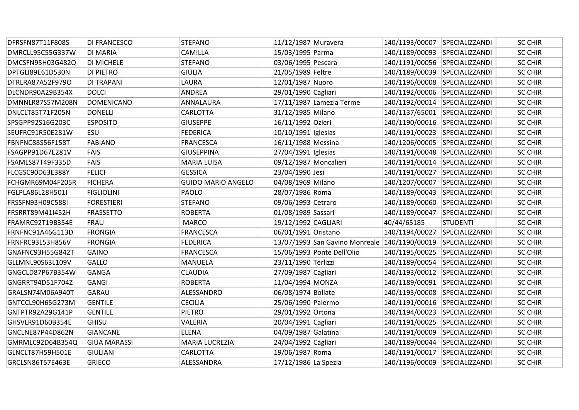| DFRSFN87T11F808S | <b>DI FRANCESCO</b> | <b>STEFANO</b>            | 11/12/1987 Muravera   |                                | 140/1193/00007 SPECIALIZZANDI |                 | <b>SC CHIR</b> |
|------------------|---------------------|---------------------------|-----------------------|--------------------------------|-------------------------------|-----------------|----------------|
| DMRCLL95C55G337W | <b>DI MARIA</b>     | <b>CAMILLA</b>            | 15/03/1995 Parma      |                                | 140/1189/00093 SPECIALIZZANDI |                 | <b>SC CHIR</b> |
| DMCSFN95H03G482Q | <b>DI MICHELE</b>   | <b>STEFANO</b>            | 03/06/1995 Pescara    |                                | 140/1191/00056 SPECIALIZZANDI |                 | <b>SC CHIR</b> |
| DPTGLI89E61D530N | <b>DI PIETRO</b>    | <b>GIULIA</b>             | 21/05/1989 Feltre     |                                | 140/1189/00039 SPECIALIZZANDI |                 | <b>SC CHIR</b> |
| DTRLRA87A52F979O | <b>DI TRAPANI</b>   | LAURA                     | 12/01/1987 Nuoro      |                                | 140/1196/00008 SPECIALIZZANDI |                 | <b>SC CHIR</b> |
| DLCNDR90A29B354X | <b>DOLCI</b>        | ANDREA                    | 29/01/1990 Cagliari   |                                | 140/1192/00006                | SPECIALIZZANDI  | <b>SC CHIR</b> |
| DMNNLR87S57M208N | DOMENICANO          | ANNALAURA                 |                       | 17/11/1987 Lamezia Terme       | 140/1192/00014 SPECIALIZZANDI |                 | <b>SC CHIR</b> |
| DNLCLT85T71F205N | <b>DONELLI</b>      | <b>CARLOTTA</b>           | 31/12/1985 Milano     |                                | 140/1137/65001 SPECIALIZZANDI |                 | <b>SC CHIR</b> |
| SPSGPP92S16G203C | <b>ESPOSITO</b>     | <b>GIUSEPPE</b>           | 16/11/1992 Ozieri     |                                | 140/1190/00016 SPECIALIZZANDI |                 | <b>SC CHIR</b> |
| SEUFRC91R50E281W | <b>ESU</b>          | <b>FEDERICA</b>           | $10/10/1991$ Iglesias |                                | 140/1191/00023 SPECIALIZZANDI |                 | <b>SC CHIR</b> |
| FBNFNC88S56F158T | <b>FABIANO</b>      | <b>FRANCESCA</b>          | 16/11/1988 Messina    |                                | 140/1206/00005 SPECIALIZZANDI |                 | <b>SC CHIR</b> |
| FSAGPP91D67E281V | FAIS                | <b>GIUSEPPINA</b>         | 27/04/1991 Iglesias   |                                | 140/1191/00048 SPECIALIZZANDI |                 | <b>SC CHIR</b> |
| FSAMLS87T49F335D | <b>FAIS</b>         | <b>MARIA LUISA</b>        | 09/12/1987 Moncalieri |                                | 140/1191/00014                | SPECIALIZZANDI  | <b>SC CHIR</b> |
| FLCGSC90D63E388Y | <b>FELICI</b>       | <b>GESSICA</b>            | 23/04/1990 Jesi       |                                | 140/1191/00027                | SPECIALIZZANDI  | <b>SC CHIR</b> |
| FCHGMR69M04F205R | <b>FICHERA</b>      | <b>GUIDO MARIO ANGELO</b> | 04/08/1969 Milano     |                                | 140/1207/00007 SPECIALIZZANDI |                 | <b>SC CHIR</b> |
| FGLPLA86L28H501I | <b>FIGLIOLINI</b>   | PAOLO                     | 28/07/1986 Roma       |                                | 140/1189/00043 SPECIALIZZANDI |                 | <b>SC CHIR</b> |
| FRSSFN93H09C588I | <b>FORESTIERI</b>   | <b>STEFANO</b>            | 09/06/1993 Cetraro    |                                | 140/1189/00060 SPECIALIZZANDI |                 | <b>SC CHIR</b> |
| FRSRRT89M41I452H | <b>FRASSETTO</b>    | <b>ROBERTA</b>            | 01/08/1989 Sassari    |                                | 140/1189/00047 SPECIALIZZANDI |                 | <b>SC CHIR</b> |
| FRAMRC92T19B354E | FRAU                | <b>MARCO</b>              | 19/12/1992 CAGLIARI   |                                | 40/44/65185                   | <b>STUDENTI</b> | <b>SC CHIR</b> |
| FRNFNC91A46G113D | <b>FRONGIA</b>      | <b>FRANCESCA</b>          | 06/01/1991 Oristano   |                                | 140/1194/00027                | SPECIALIZZANDI  | <b>SC CHIR</b> |
| FRNFRC93L53H856V | <b>FRONGIA</b>      | <b>FEDERICA</b>           |                       | 13/07/1993 San Gavino Monreale | 140/1190/00019                | SPECIALIZZANDI  | <b>SC CHIR</b> |
| GNAFNC93H55G842T | <b>GAINO</b>        | <b>FRANCESCA</b>          |                       | 15/06/1993 Ponte Dell'Olio     | 140/1195/00025 SPECIALIZZANDI |                 | <b>SC CHIR</b> |
| GLLMNL90S63L109V | <b>GALLO</b>        | <b>MANUELA</b>            | 23/11/1990 Terlizzi   |                                | 140/1189/00054 SPECIALIZZANDI |                 | <b>SC CHIR</b> |
| GNGCLD87P67B354W | <b>GANGA</b>        | <b>CLAUDIA</b>            | 27/09/1987 Cagliari   |                                | 140/1193/00012 SPECIALIZZANDI |                 | <b>SC CHIR</b> |
| GNGRRT94D51F704Z | <b>GANGI</b>        | <b>ROBERTA</b>            | 11/04/1994 MONZA      |                                | 140/1189/00091 SPECIALIZZANDI |                 | <b>SC CHIR</b> |
| GRALSN74M06A940T | <b>GARAU</b>        | ALESSANDRO                | 06/08/1974 Bollate    |                                | 140/1193/00008 SPECIALIZZANDI |                 | <b>SC CHIR</b> |
| GNTCCL90H65G273M | <b>GENTILE</b>      | <b>CECILIA</b>            | 25/06/1990 Palermo    |                                | 140/1191/00016 SPECIALIZZANDI |                 | <b>SC CHIR</b> |
| GNTPTR92A29G141P | <b>GENTILE</b>      | <b>PIETRO</b>             | 29/01/1992 Ortona     |                                | 140/1194/00023                | SPECIALIZZANDI  | <b>SC CHIR</b> |
| GHSVLR91D60B354E | <b>GHISU</b>        | VALERIA                   | 20/04/1991 Cagliari   |                                | 140/1191/00025                | SPECIALIZZANDI  | <b>SC CHIR</b> |
| GNCLNE87P44D862N | <b>GIANCANE</b>     | <b>ELENA</b>              | 04/09/1987 Galatina   |                                | 140/1191/00009 SPECIALIZZANDI |                 | <b>SC CHIR</b> |
| GMRMLC92D64B354Q | <b>GIUA MARASSI</b> | MARIA LUCREZIA            | 24/04/1992 Cagliari   |                                | 140/1189/00044 SPECIALIZZANDI |                 | <b>SC CHIR</b> |
| GLNCLT87H59H501E | <b>GIULIANI</b>     | CARLOTTA                  | 19/06/1987 Roma       |                                | 140/1191/00017                | SPECIALIZZANDI  | <b>SC CHIR</b> |
| GRCLSN86T57E463E | <b>GRIECO</b>       | ALESSANDRA                | 17/12/1986 La Spezia  |                                | 140/1196/00009 SPECIALIZZANDI |                 | <b>SC CHIR</b> |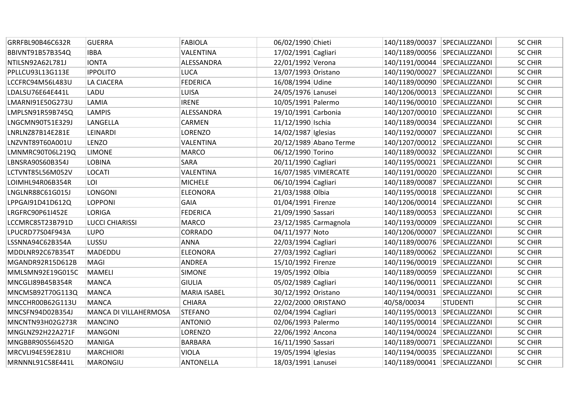| GRRFBL90B46C632R | <b>GUERRA</b>          | <b>FABIOLA</b>      | 06/02/1990 Chieti   |                        | 140/1189/00037 SPECIALIZZANDI |                 | <b>SC CHIR</b> |
|------------------|------------------------|---------------------|---------------------|------------------------|-------------------------------|-----------------|----------------|
| BBIVNT91B57B354Q | <b>IBBA</b>            | VALENTINA           | 17/02/1991 Cagliari |                        | 140/1189/00056 SPECIALIZZANDI |                 | <b>SC CHIR</b> |
| NTILSN92A62L781J | <b>IONTA</b>           | ALESSANDRA          | 22/01/1992 Verona   |                        | 140/1191/00044 SPECIALIZZANDI |                 | <b>SC CHIR</b> |
| PPLLCU93L13G113E | <b>IPPOLITO</b>        | <b>LUCA</b>         | 13/07/1993 Oristano |                        | 140/1190/00027 SPECIALIZZANDI |                 | <b>SC CHIR</b> |
| LCCFRC94M56L483U | <b>LA CIACERA</b>      | <b>FEDERICA</b>     | 16/08/1994 Udine    |                        | 140/1189/00090 SPECIALIZZANDI |                 | <b>SC CHIR</b> |
| LDALSU76E64E441L | LADU                   | LUISA               | 24/05/1976 Lanusei  |                        | 140/1206/00013                | SPECIALIZZANDI  | <b>SC CHIR</b> |
| LMARNI91E50G273U | LAMIA                  | <b>IRENE</b>        | 10/05/1991 Palermo  |                        | 140/1196/00010 SPECIALIZZANDI |                 | <b>SC CHIR</b> |
| LMPLSN91R59B745Q | <b>LAMPIS</b>          | ALESSANDRA          | 19/10/1991 Carbonia |                        | 140/1207/00010 SPECIALIZZANDI |                 | <b>SC CHIR</b> |
| LNGCMN90T51E329J | LANGELLA               | CARMEN              | 11/12/1990 Ischia   |                        | 140/1189/00034 SPECIALIZZANDI |                 | <b>SC CHIR</b> |
| LNRLNZ87B14E281E | LEINARDI               | <b>LORENZO</b>      | 14/02/1987 Iglesias |                        | 140/1192/00007 SPECIALIZZANDI |                 | <b>SC CHIR</b> |
| LNZVNT89T60A001U | LENZO                  | VALENTINA           |                     | 20/12/1989 Abano Terme | 140/1207/00012 SPECIALIZZANDI |                 | <b>SC CHIR</b> |
| LMNMRC90T06L219Q | <b>LIMONE</b>          | <b>MARCO</b>        | 06/12/1990 Torino   |                        | 140/1189/00032 SPECIALIZZANDI |                 | <b>SC CHIR</b> |
| LBNSRA90S60B354J | <b>LOBINA</b>          | SARA                | 20/11/1990 Cagliari |                        | 140/1195/00021 SPECIALIZZANDI |                 | <b>SC CHIR</b> |
| LCTVNT85L56M052V | <b>LOCATI</b>          | VALENTINA           |                     | 16/07/1985 VIMERCATE   | 140/1191/00020 SPECIALIZZANDI |                 | <b>SC CHIR</b> |
| LOIMHL94R06B354R | LOI                    | <b>MICHELE</b>      | 06/10/1994 Cagliari |                        | 140/1189/00087 SPECIALIZZANDI |                 | <b>SC CHIR</b> |
| LNGLNR88C61G015J | LONGONI                | <b>ELEONORA</b>     | 21/03/1988 Olbia    |                        | 140/1195/00018 SPECIALIZZANDI |                 | <b>SC CHIR</b> |
| LPPGAI91D41D612Q | <b>LOPPONI</b>         | <b>GAIA</b>         | 01/04/1991 Firenze  |                        | 140/1206/00014 SPECIALIZZANDI |                 | <b>SC CHIR</b> |
| LRGFRC90P61I452E | <b>LORIGA</b>          | <b>FEDERICA</b>     | 21/09/1990 Sassari  |                        | 140/1189/00053 SPECIALIZZANDI |                 | <b>SC CHIR</b> |
| LCCMRC85T23B791D | <b>LUCCI CHIARISSI</b> | <b>MARCO</b>        |                     | 23/12/1985 Carmagnola  | 140/1193/00009 SPECIALIZZANDI |                 | <b>SC CHIR</b> |
| LPUCRD77S04F943A | <b>LUPO</b>            | <b>CORRADO</b>      | 04/11/1977 Noto     |                        | 140/1206/00007                | SPECIALIZZANDI  | <b>SC CHIR</b> |
| LSSNNA94C62B354A | LUSSU                  | <b>ANNA</b>         | 22/03/1994 Cagliari |                        | 140/1189/00076                | SPECIALIZZANDI  | <b>SC CHIR</b> |
| MDDLNR92C67B354T | MADEDDU                | <b>ELEONORA</b>     | 27/03/1992 Cagliari |                        | 140/1189/00062 SPECIALIZZANDI |                 | <b>SC CHIR</b> |
| MGANDR92R15D612B | <b>MAGI</b>            | <b>ANDREA</b>       | 15/10/1992 Firenze  |                        | 140/1196/00019 SPECIALIZZANDI |                 | <b>SC CHIR</b> |
| MMLSMN92E19G015C | <b>MAMELI</b>          | <b>SIMONE</b>       | 19/05/1992 Olbia    |                        | 140/1189/00059 SPECIALIZZANDI |                 | <b>SC CHIR</b> |
| MNCGLI89B45B354R | <b>MANCA</b>           | <b>GIULIA</b>       | 05/02/1989 Cagliari |                        | 140/1196/00011 SPECIALIZZANDI |                 | <b>SC CHIR</b> |
| MNCMSB92T70G113Q | <b>MANCA</b>           | <b>MARIA ISABEL</b> | 30/12/1992 Oristano |                        | 140/1194/00031 SPECIALIZZANDI |                 | <b>SC CHIR</b> |
| MNCCHR00B62G113U | <b>MANCA</b>           | <b>CHIARA</b>       | 22/02/2000 ORISTANO |                        | 40/58/00034                   | <b>STUDENTI</b> | <b>SC CHIR</b> |
| MNCSFN94D02B354J | MANCA DI VILLAHERMOSA  | <b>STEFANO</b>      | 02/04/1994 Cagliari |                        | 140/1195/00013                | SPECIALIZZANDI  | <b>SC CHIR</b> |
| MNCNTN93H02G273R | <b>MANCINO</b>         | <b>ANTONIO</b>      | 02/06/1993 Palermo  |                        | 140/1195/00014 SPECIALIZZANDI |                 | <b>SC CHIR</b> |
| MNGLNZ92H22A271F | <b>MANGONI</b>         | LORENZO             | 22/06/1992 Ancona   |                        | 140/1194/00024 SPECIALIZZANDI |                 | <b>SC CHIR</b> |
| MNGBBR90S56I452O | <b>MANIGA</b>          | <b>BARBARA</b>      | 16/11/1990 Sassari  |                        | 140/1189/00071 SPECIALIZZANDI |                 | <b>SC CHIR</b> |
| MRCVLI94E59E281U | <b>MARCHIORI</b>       | <b>VIOLA</b>        | 19/05/1994 Iglesias |                        | 140/1194/00035 SPECIALIZZANDI |                 | <b>SC CHIR</b> |
| MRNNNL91C58E441L | <b>MARONGIU</b>        | <b>ANTONELLA</b>    | 18/03/1991 Lanusei  |                        | 140/1189/00041 SPECIALIZZANDI |                 | <b>SC CHIR</b> |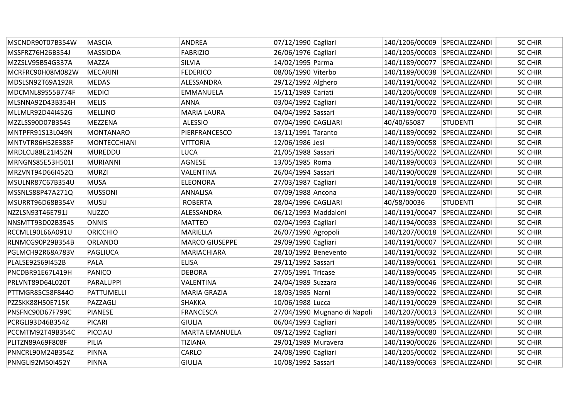| MSCNDR90T07B354W | <b>MASCIA</b>       | <b>ANDREA</b>         | 07/12/1990 Cagliari  |                              | 140/1206/00009 SPECIALIZZANDI |                 | <b>SC CHIR</b> |
|------------------|---------------------|-----------------------|----------------------|------------------------------|-------------------------------|-----------------|----------------|
| MSSFRZ76H26B354J | <b>MASSIDDA</b>     | <b>FABRIZIO</b>       | 26/06/1976 Cagliari  |                              | 140/1205/00003 SPECIALIZZANDI |                 | <b>SC CHIR</b> |
| MZZSLV95B54G337A | <b>MAZZA</b>        | SILVIA                | 14/02/1995 Parma     |                              | 140/1189/00077 SPECIALIZZANDI |                 | <b>SC CHIR</b> |
| MCRFRC90H08M082W | <b>MECARINI</b>     | <b>FEDERICO</b>       | 08/06/1990 Viterbo   |                              | 140/1189/00038                | SPECIALIZZANDI  | <b>SC CHIR</b> |
| MDSLSN92T69A192R | <b>MEDAS</b>        | ALESSANDRA            | 29/12/1992 Alghero   |                              | 140/1191/00042                | SPECIALIZZANDI  | <b>SC CHIR</b> |
| MDCMNL89S55B774F | <b>MEDICI</b>       | <b>EMMANUELA</b>      | 15/11/1989 Cariati   |                              | 140/1206/00008                | SPECIALIZZANDI  | <b>SC CHIR</b> |
| MLSNNA92D43B354H | <b>MELIS</b>        | <b>ANNA</b>           | 03/04/1992 Cagliari  |                              | 140/1191/00022 SPECIALIZZANDI |                 | <b>SC CHIR</b> |
| MLLMLR92D44I452G | <b>MELLINO</b>      | <b>MARIA LAURA</b>    | 04/04/1992 Sassari   |                              | 140/1189/00070 SPECIALIZZANDI |                 | <b>SC CHIR</b> |
| MZZLSS90D07B354S | <b>MEZZENA</b>      | <b>ALESSIO</b>        | 07/04/1990 CAGLIARI  |                              | 40/40/65087                   | <b>STUDENTI</b> | <b>SC CHIR</b> |
| MNTPFR91S13L049N | <b>MONTANARO</b>    | PIERFRANCESCO         | 13/11/1991 Taranto   |                              | 140/1189/00092 SPECIALIZZANDI |                 | <b>SC CHIR</b> |
| MNTVTR86H52E388F | <b>MONTECCHIANI</b> | <b>VITTORIA</b>       | 12/06/1986 Jesi      |                              | 140/1189/00058 SPECIALIZZANDI |                 | <b>SC CHIR</b> |
| MRDLCU88E21I452N | <b>MUREDDU</b>      | LUCA                  | 21/05/1988 Sassari   |                              | 140/1195/00022                | SPECIALIZZANDI  | <b>SC CHIR</b> |
| MRNGNS85E53H501I | <b>MURIANNI</b>     | <b>AGNESE</b>         | 13/05/1985 Roma      |                              | 140/1189/00003                | SPECIALIZZANDI  | <b>SC CHIR</b> |
| MRZVNT94D66I452Q | <b>MURZI</b>        | VALENTINA             | 26/04/1994 Sassari   |                              | 140/1190/00028                | SPECIALIZZANDI  | <b>SC CHIR</b> |
| MSULNR87C67B354U | <b>MUSA</b>         | <b>ELEONORA</b>       | 27/03/1987 Cagliari  |                              | 140/1191/00018 SPECIALIZZANDI |                 | <b>SC CHIR</b> |
| MSSNLS88P47A271Q | <b>MUSSONI</b>      | ANNALISA              | 07/09/1988 Ancona    |                              | 140/1189/00020                | SPECIALIZZANDI  | <b>SC CHIR</b> |
| MSURRT96D68B354V | <b>MUSU</b>         | <b>ROBERTA</b>        | 28/04/1996 CAGLIARI  |                              | 40/58/00036                   | <b>STUDENTI</b> | <b>SC CHIR</b> |
| NZZLSN93T46E791J | <b>NUZZO</b>        | ALESSANDRA            | 06/12/1993 Maddaloni |                              | 140/1191/00047 SPECIALIZZANDI |                 | <b>SC CHIR</b> |
| NNSMTT93D02B354S | <b>ONNIS</b>        | <b>MATTEO</b>         | 02/04/1993 Cagliari  |                              | 140/1194/00033 SPECIALIZZANDI |                 | <b>SC CHIR</b> |
| RCCMLL90L66A091U | <b>ORICCHIO</b>     | MARIELLA              | 26/07/1990 Agropoli  |                              | 140/1207/00018                | SPECIALIZZANDI  | <b>SC CHIR</b> |
| RLNMCG90P29B354B | <b>ORLANDO</b>      | <b>MARCO GIUSEPPE</b> | 29/09/1990 Cagliari  |                              | 140/1191/00007                | SPECIALIZZANDI  | <b>SC CHIR</b> |
| PGLMCH92R68A783V | <b>PAGLIUCA</b>     | MARIACHIARA           | 28/10/1992 Benevento |                              | 140/1191/00032 SPECIALIZZANDI |                 | <b>SC CHIR</b> |
| PLALSE92S69I452B | PALA                | <b>ELISA</b>          | 29/11/1992 Sassari   |                              | 140/1189/00061 SPECIALIZZANDI |                 | <b>SC CHIR</b> |
| PNCDBR91E67L419H | PANICO              | <b>DEBORA</b>         | 27/05/1991 Tricase   |                              | 140/1189/00045                | SPECIALIZZANDI  | <b>SC CHIR</b> |
| PRLVNT89D64L020T | PARALUPPI           | VALENTINA             | 24/04/1989 Suzzara   |                              | 140/1189/00046                | SPECIALIZZANDI  | <b>SC CHIR</b> |
| PTTMGR85C58F844O | PATTUMELLI          | MARIA GRAZIA          | 18/03/1985 Narni     |                              | 140/1189/00022 SPECIALIZZANDI |                 | <b>SC CHIR</b> |
| PZZSKK88H50E715K | PAZZAGLI            | <b>SHAKKA</b>         | 10/06/1988 Lucca     |                              | 140/1191/00029                | SPECIALIZZANDI  | <b>SC CHIR</b> |
| PNSFNC90D67F799C | <b>PIANESE</b>      | <b>FRANCESCA</b>      |                      | 27/04/1990 Mugnano di Napoli | 140/1207/00013                | SPECIALIZZANDI  | <b>SC CHIR</b> |
| PCRGLI93D46B354Z | <b>PICARI</b>       | <b>GIULIA</b>         | 06/04/1993 Cagliari  |                              | 140/1189/00085                | SPECIALIZZANDI  | <b>SC CHIR</b> |
| PCCMTM92T49B354C | PICCIAU             | <b>MARTA EMANUELA</b> | 09/12/1992 Cagliari  |                              | 140/1189/00080 SPECIALIZZANDI |                 | <b>SC CHIR</b> |
| PLITZN89A69F808F | PILIA               | <b>TIZIANA</b>        | 29/01/1989 Muravera  |                              | 140/1190/00026 SPECIALIZZANDI |                 | <b>SC CHIR</b> |
| PNNCRL90M24B354Z | <b>PINNA</b>        | CARLO                 | 24/08/1990 Cagliari  |                              | 140/1205/00002 SPECIALIZZANDI |                 | <b>SC CHIR</b> |
| PNNGLI92M50I452Y | <b>PINNA</b>        | <b>GIULIA</b>         | 10/08/1992 Sassari   |                              | 140/1189/00063 SPECIALIZZANDI |                 | <b>SC CHIR</b> |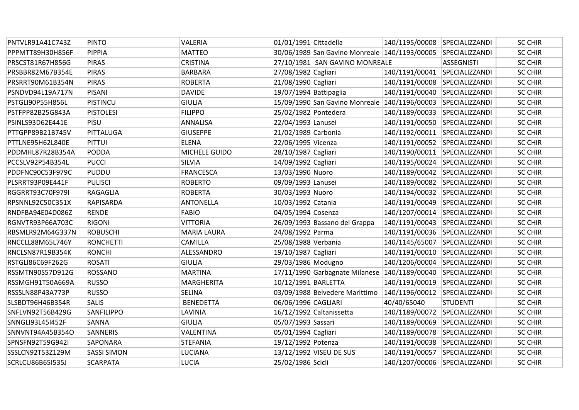| PNTVLR91A41C743Z        | <b>PINTO</b>       | VALERIA            | 01/01/1991 Cittadella    |                                                              | 140/1195/00008 SPECIALIZZANDI |                   | <b>SC CHIR</b> |
|-------------------------|--------------------|--------------------|--------------------------|--------------------------------------------------------------|-------------------------------|-------------------|----------------|
| PPPMTT89H30H856F        | <b>PIPPIA</b>      | <b>MATTEO</b>      |                          | 30/06/1989 San Gavino Monreale 140/1193/00005 SPECIALIZZANDI |                               |                   | <b>SC CHIR</b> |
| PRSCST81R67H856G        | <b>PIRAS</b>       | <b>CRISTINA</b>    |                          | 27/10/1981 SAN GAVINO MONREALE                               |                               | <b>ASSEGNISTI</b> | <b>SC CHIR</b> |
| PRSBBR82M67B354E        | <b>PIRAS</b>       | <b>BARBARA</b>     | 27/08/1982 Cagliari      |                                                              | 140/1191/00041 SPECIALIZZANDI |                   | <b>SC CHIR</b> |
| PRSRRT90M61B354N        | <b>PIRAS</b>       | <b>ROBERTA</b>     | 21/08/1990 Cagliari      |                                                              | 140/1191/00008 SPECIALIZZANDI |                   | <b>SC CHIR</b> |
| PSNDVD94L19A717N        | <b>PISANI</b>      | <b>DAVIDE</b>      | $19/07/1994$ Battipaglia |                                                              | 140/1191/00040                | SPECIALIZZANDI    | <b>SC CHIR</b> |
| PSTGLI90P55H856L        | <b>PISTINCU</b>    | <b>GIULIA</b>      |                          | 15/09/1990 San Gavino Monreale 140/1196/00003 SPECIALIZZANDI |                               |                   | <b>SC CHIR</b> |
| PSTFPP82B25G843A        | <b>PISTOLESI</b>   | <b>FILIPPO</b>     | 25/02/1982 Pontedera     |                                                              | 140/1189/00033 SPECIALIZZANDI |                   | <b>SC CHIR</b> |
| PSINLS93D62E441E        | PISU               | ANNALISA           | 22/04/1993 Lanusei       |                                                              | 140/1191/00050 SPECIALIZZANDI |                   | <b>SC CHIR</b> |
| PTTGPP89B21B745V        | PITTALUGA          | <b>GIUSEPPE</b>    | 21/02/1989 Carbonia      |                                                              | 140/1192/00011 SPECIALIZZANDI |                   | <b>SC CHIR</b> |
| PTTLNE95H62L840E        | <b>PITTUI</b>      | <b>ELENA</b>       | 22/06/1995 Vicenza       |                                                              | 140/1191/00052 SPECIALIZZANDI |                   | <b>SC CHIR</b> |
| PDDMHL87R28B354A        | <b>PODDA</b>       | MICHELE GUIDO      | 28/10/1987 Cagliari      |                                                              | 140/1190/00011 SPECIALIZZANDI |                   | <b>SC CHIR</b> |
| PCCSLV92P54B354L        | <b>PUCCI</b>       | <b>SILVIA</b>      | 14/09/1992 Cagliari      |                                                              | 140/1195/00024                | SPECIALIZZANDI    | <b>SC CHIR</b> |
| PDDFNC90C53F979C        | <b>PUDDU</b>       | <b>FRANCESCA</b>   | 13/03/1990 Nuoro         |                                                              | 140/1189/00042 SPECIALIZZANDI |                   | <b>SC CHIR</b> |
| PLSRRT93P09E441F        | <b>PULISCI</b>     | <b>ROBERTO</b>     | 09/09/1993 Lanusei       |                                                              | 140/1189/00082 SPECIALIZZANDI |                   | <b>SC CHIR</b> |
| RGGRRT93C70F979I        | RAGAGLIA           | <b>ROBERTA</b>     | 30/03/1993 Nuoro         |                                                              | 140/1194/00032 SPECIALIZZANDI |                   | <b>SC CHIR</b> |
| RPSNNL92C50C351X        | <b>RAPISARDA</b>   | <b>ANTONELLA</b>   | 10/03/1992 Catania       |                                                              | 140/1191/00049 SPECIALIZZANDI |                   | <b>SC CHIR</b> |
| RNDFBA94E04D086Z        | <b>RENDE</b>       | <b>FABIO</b>       | 04/05/1994 Cosenza       |                                                              | 140/1207/00014 SPECIALIZZANDI |                   | <b>SC CHIR</b> |
| RGNVTR93P66A703C        | <b>RIGONI</b>      | <b>VITTORIA</b>    |                          | 26/09/1993 Bassano del Grappa                                | 140/1191/00043 SPECIALIZZANDI |                   | <b>SC CHIR</b> |
| RBSMLR92M64G337N        | <b>ROBUSCHI</b>    | <b>MARIA LAURA</b> | 24/08/1992 Parma         |                                                              | 140/1191/00036 SPECIALIZZANDI |                   | <b>SC CHIR</b> |
| RNCCLL88M65L746Y        | <b>RONCHETTI</b>   | CAMILLA            | 25/08/1988 Verbania      |                                                              | 140/1145/65007                | SPECIALIZZANDI    | <b>SC CHIR</b> |
| RNCLSN87R19B354K        | <b>RONCHI</b>      | ALESSANDRO         | 19/10/1987 Cagliari      |                                                              | 140/1191/00010 SPECIALIZZANDI |                   | <b>SC CHIR</b> |
| RSTGLI86C69F262G        | <b>ROSATI</b>      | <b>GIULIA</b>      | 29/03/1986 Modugno       |                                                              | 140/1206/00004 SPECIALIZZANDI |                   | <b>SC CHIR</b> |
| RSSMTN90S57D912G        | <b>ROSSANO</b>     | <b>MARTINA</b>     |                          | 17/11/1990 Garbagnate Milanese                               | 140/1189/00040 SPECIALIZZANDI |                   | <b>SC CHIR</b> |
| RSSMGH91T50A669A        | <b>RUSSO</b>       | <b>MARGHERITA</b>  | 10/12/1991 BARLETTA      |                                                              | 140/1191/00019 SPECIALIZZANDI |                   | <b>SC CHIR</b> |
| RSSSLN88P43A773P        | <b>RUSSO</b>       | <b>SELINA</b>      |                          | 03/09/1988 Belvedere Marittimo                               | 140/1196/00012 SPECIALIZZANDI |                   | <b>SC CHIR</b> |
| SLSBDT96H46B354R        | <b>SALIS</b>       | <b>BENEDETTA</b>   | 06/06/1996 CAGLIARI      |                                                              | 40/40/65040                   | <b>STUDENTI</b>   | <b>SC CHIR</b> |
| SNFLVN92T56B429G        | SANFILIPPO         | LAVINIA            |                          | 16/12/1992 Caltanissetta                                     | 140/1189/00072 SPECIALIZZANDI |                   | <b>SC CHIR</b> |
| SNNGLI93L45I452F        | <b>SANNA</b>       | <b>GIULIA</b>      | 05/07/1993 Sassari       |                                                              | 140/1189/00069 SPECIALIZZANDI |                   | <b>SC CHIR</b> |
| SNNVNT94A45B354O        | <b>SANNERIS</b>    | VALENTINA          | 05/01/1994 Cagliari      |                                                              | 140/1189/00078 SPECIALIZZANDI |                   | <b>SC CHIR</b> |
| SPNSFN92T59G942I        | <b>SAPONARA</b>    | <b>STEFANIA</b>    | 19/12/1992 Potenza       |                                                              | 140/1191/00038 SPECIALIZZANDI |                   | <b>SC CHIR</b> |
| SSSLCN92T53Z129M        | <b>SASSI SIMON</b> | LUCIANA            |                          | 13/12/1992 VISEU DE SUS                                      | 140/1191/00057                | SPECIALIZZANDI    | <b>SC CHIR</b> |
| <b>SCRLCU86B65I535J</b> | <b>SCARPATA</b>    | <b>LUCIA</b>       | 25/02/1986 Scicli        |                                                              | 140/1207/00006 SPECIALIZZANDI |                   | <b>SC CHIR</b> |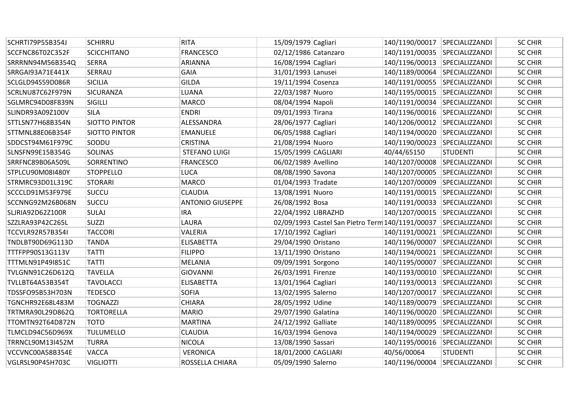| SCHRTI79P55B354J        | <b>SCHIRRU</b>       | <b>RITA</b>             | 15/09/1979 Cagliari  |                                                                 | 140/1190/00017 SPECIALIZZANDI |                 | <b>SC CHIR</b> |
|-------------------------|----------------------|-------------------------|----------------------|-----------------------------------------------------------------|-------------------------------|-----------------|----------------|
| SCCFNC86T02C352F        | <b>SCICCHITANO</b>   | <b>FRANCESCO</b>        | 02/12/1986 Catanzaro |                                                                 | 140/1191/00035 SPECIALIZZANDI |                 | <b>SC CHIR</b> |
| SRRRNN94M56B354Q        | <b>SERRA</b>         | ARIANNA                 | 16/08/1994 Cagliari  |                                                                 | 140/1196/00013 SPECIALIZZANDI |                 | <b>SC CHIR</b> |
| SRRGAI93A71E441X        | <b>SERRAU</b>        | GAIA                    | 31/01/1993 Lanusei   |                                                                 | 140/1189/00064 SPECIALIZZANDI |                 | <b>SC CHIR</b> |
| SCLGLD94S59D086R        | <b>SICILIA</b>       | <b>GILDA</b>            | 19/11/1994 Cosenza   |                                                                 | 140/1191/00055 SPECIALIZZANDI |                 | <b>SC CHIR</b> |
| SCRLNU87C62F979N        | <b>SICURANZA</b>     | LUANA                   | 22/03/1987 Nuoro     |                                                                 | 140/1195/00015 SPECIALIZZANDI |                 | <b>SC CHIR</b> |
| SGLMRC94D08F839N        | SIGILLI              | <b>MARCO</b>            | 08/04/1994 Napoli    |                                                                 | 140/1191/00034 SPECIALIZZANDI |                 | <b>SC CHIR</b> |
| SLINDR93A09Z100V        | <b>SILA</b>          | <b>ENDRI</b>            | 09/01/1993 Tirana    |                                                                 | 140/1196/00016 SPECIALIZZANDI |                 | <b>SC CHIR</b> |
| STTLSN77H68B354N        | <b>SIOTTO PINTOR</b> | ALESSANDRA              | 28/06/1977 Cagliari  |                                                                 | 140/1206/00012 SPECIALIZZANDI |                 | <b>SC CHIR</b> |
| STTMNL88E06B354F        | <b>SIOTTO PINTOR</b> | <b>EMANUELE</b>         | 06/05/1988 Cagliari  |                                                                 | 140/1194/00020 SPECIALIZZANDI |                 | <b>SC CHIR</b> |
| SDDCST94M61F979C        | SODDU                | <b>CRISTINA</b>         | 21/08/1994 Nuoro     |                                                                 | 140/1190/00023 SPECIALIZZANDI |                 | <b>SC CHIR</b> |
| SLNSFN99E15B354G        | <b>SOLINAS</b>       | <b>STEFANO LUIGI</b>    | 15/05/1999 CAGLIARI  |                                                                 | 40/44/65150                   | <b>STUDENTI</b> | <b>SC CHIR</b> |
| SRRFNC89B06A509L        | SORRENTINO           | <b>FRANCESCO</b>        | 06/02/1989 Avellino  |                                                                 | 140/1207/00008                | SPECIALIZZANDI  | <b>SC CHIR</b> |
| STPLCU90M08I480Y        | <b>STOPPELLO</b>     | <b>LUCA</b>             | 08/08/1990 Savona    |                                                                 | 140/1207/00005 SPECIALIZZANDI |                 | <b>SC CHIR</b> |
| STRMRC93D01L319C        | <b>STORARI</b>       | <b>MARCO</b>            | 01/04/1993 Tradate   |                                                                 | 140/1207/00009 SPECIALIZZANDI |                 | <b>SC CHIR</b> |
| SCCCLD91M53F979E        | <b>SUCCU</b>         | <b>CLAUDIA</b>          | 13/08/1991 Nuoro     |                                                                 | 140/1191/00015 SPECIALIZZANDI |                 | <b>SC CHIR</b> |
| SCCNNG92M26B068N        | <b>SUCCU</b>         | <b>ANTONIO GIUSEPPE</b> | 26/08/1992 Bosa      |                                                                 | 140/1191/00033 SPECIALIZZANDI |                 | <b>SC CHIR</b> |
| SLJRIA92D62Z100R        | <b>SULAJ</b>         | <b>IRA</b>              | 22/04/1992 LIBRAZHD  |                                                                 | 140/1207/00015 SPECIALIZZANDI |                 | <b>SC CHIR</b> |
| SZZLRA93P42C265L        | <b>SUZZI</b>         | LAURA                   |                      | 02/09/1993 Castel San Pietro Term 140/1191/00037 SPECIALIZZANDI |                               |                 | <b>SC CHIR</b> |
| <b>TCCVLR92R57B354I</b> | <b>TACCORI</b>       | VALERIA                 | 17/10/1992 Cagliari  |                                                                 | 140/1191/00021 SPECIALIZZANDI |                 | <b>SC CHIR</b> |
| TNDLBT90D69G113D        | <b>TANDA</b>         | <b>ELISABETTA</b>       | 29/04/1990 Oristano  |                                                                 | 140/1196/00007                | SPECIALIZZANDI  | <b>SC CHIR</b> |
| TTTFPP90S13G113V        | <b>TATTI</b>         | <b>FILIPPO</b>          | 13/11/1990 Oristano  |                                                                 | 140/1194/00021 SPECIALIZZANDI |                 | <b>SC CHIR</b> |
| TTTMLN91P49I851C        | <b>TATTI</b>         | MELANIA                 | 09/09/1991 Sorgono   |                                                                 | 140/1195/00007 SPECIALIZZANDI |                 | <b>SC CHIR</b> |
| TVLGNN91C26D612Q        | <b>TAVELLA</b>       | GIOVANNI                | 26/03/1991 Firenze   |                                                                 | 140/1193/00010 SPECIALIZZANDI |                 | <b>SC CHIR</b> |
| TVLLBT64A53B354T        | <b>TAVOLACCI</b>     | <b>ELISABETTA</b>       | 13/01/1964 Cagliari  |                                                                 | 140/1193/00013 SPECIALIZZANDI |                 | <b>SC CHIR</b> |
| TDSSFO95B53H703N        | <b>TEDESCO</b>       | <b>SOFIA</b>            | 13/02/1995 Salerno   |                                                                 | 140/1207/00017 SPECIALIZZANDI |                 | <b>SC CHIR</b> |
| TGNCHR92E68L483M        | <b>TOGNAZZI</b>      | <b>CHIARA</b>           | 28/05/1992 Udine     |                                                                 | 140/1189/00079 SPECIALIZZANDI |                 | <b>SC CHIR</b> |
| TRTMRA90L29D862Q        | <b>TORTORELLA</b>    | <b>MARIO</b>            | 29/07/1990 Galatina  |                                                                 | 140/1196/00020 SPECIALIZZANDI |                 | <b>SC CHIR</b> |
| TTOMTN92T64D872N        | <b>TOTO</b>          | <b>MARTINA</b>          | 24/12/1992 Galliate  |                                                                 | 140/1189/00095 SPECIALIZZANDI |                 | <b>SC CHIR</b> |
| TLMCLD94C56D969X        | <b>TULUMELLO</b>     | <b>CLAUDIA</b>          | 16/03/1994 Genova    |                                                                 | 140/1194/00029 SPECIALIZZANDI |                 | <b>SC CHIR</b> |
| TRRNCL90M13I452M        | <b>TURRA</b>         | <b>NICOLA</b>           | 13/08/1990 Sassari   |                                                                 | 140/1195/00016 SPECIALIZZANDI |                 | <b>SC CHIR</b> |
| VCCVNC00A58B354E        | <b>VACCA</b>         | <b>VERONICA</b>         | 18/01/2000 CAGLIARI  |                                                                 | 40/56/00064                   | <b>STUDENTI</b> | <b>SC CHIR</b> |
| VGLRSL90P45H703C        | <b>VIGLIOTTI</b>     | ROSSELLA CHIARA         | 05/09/1990 Salerno   |                                                                 | 140/1196/00004 SPECIALIZZANDI |                 | <b>SC CHIR</b> |